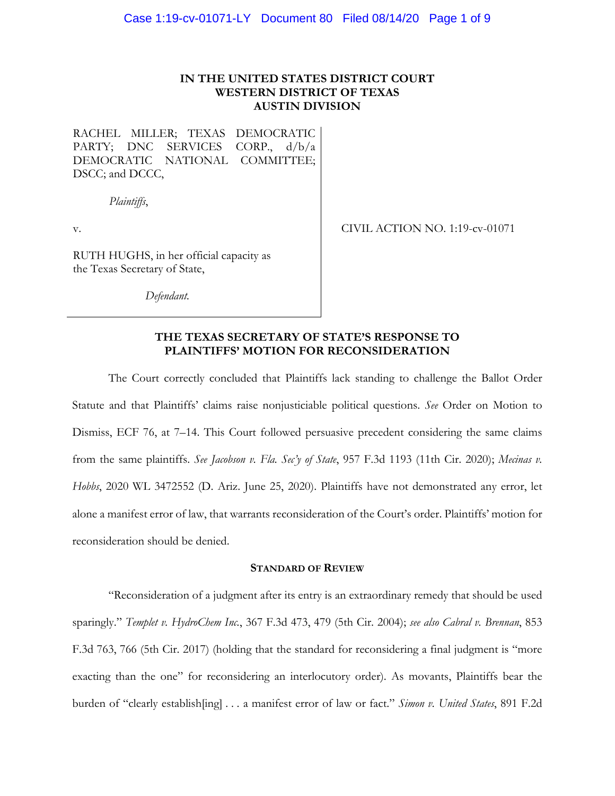## **IN THE UNITED STATES DISTRICT COURT WESTERN DISTRICT OF TEXAS AUSTIN DIVISION**

RACHEL MILLER; TEXAS DEMOCRATIC PARTY; DNC SERVICES CORP., d/b/a DEMOCRATIC NATIONAL COMMITTEE; DSCC; and DCCC,

*Plaintiffs*,

v.

CIVIL ACTION NO. 1:19-cv-01071

RUTH HUGHS, in her official capacity as the Texas Secretary of State,

*Defendant.*

## **THE TEXAS SECRETARY OF STATE'S RESPONSE TO PLAINTIFFS' MOTION FOR RECONSIDERATION**

The Court correctly concluded that Plaintiffs lack standing to challenge the Ballot Order Statute and that Plaintiffs' claims raise nonjusticiable political questions. *See* Order on Motion to Dismiss, ECF 76, at 7–14. This Court followed persuasive precedent considering the same claims from the same plaintiffs. *See Jacobson v. Fla. Sec'y of State*, 957 F.3d 1193 (11th Cir. 2020); *Mecinas v. Hobbs*, 2020 WL 3472552 (D. Ariz. June 25, 2020). Plaintiffs have not demonstrated any error, let alone a manifest error of law, that warrants reconsideration of the Court's order. Plaintiffs' motion for reconsideration should be denied.

#### **STANDARD OF REVIEW**

"Reconsideration of a judgment after its entry is an extraordinary remedy that should be used sparingly." *Templet v. HydroChem Inc.*, 367 F.3d 473, 479 (5th Cir. 2004); *see also Cabral v. Brennan*, 853 F.3d 763, 766 (5th Cir. 2017) (holding that the standard for reconsidering a final judgment is "more exacting than the one" for reconsidering an interlocutory order). As movants, Plaintiffs bear the burden of "clearly establish[ing] . . . a manifest error of law or fact." *Simon v. United States*, 891 F.2d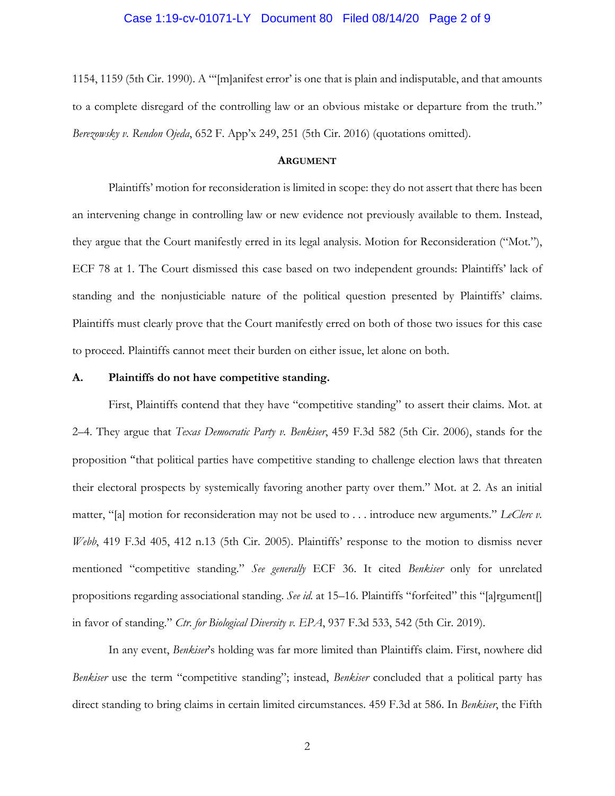### Case 1:19-cv-01071-LY Document 80 Filed 08/14/20 Page 2 of 9

1154, 1159 (5th Cir. 1990). A "'[m]anifest error' is one that is plain and indisputable, and that amounts to a complete disregard of the controlling law or an obvious mistake or departure from the truth." *Berezowsky v. Rendon Ojeda*, 652 F. App'x 249, 251 (5th Cir. 2016) (quotations omitted).

#### **ARGUMENT**

Plaintiffs' motion for reconsideration is limited in scope: they do not assert that there has been an intervening change in controlling law or new evidence not previously available to them. Instead, they argue that the Court manifestly erred in its legal analysis. Motion for Reconsideration ("Mot."), ECF 78 at 1. The Court dismissed this case based on two independent grounds: Plaintiffs' lack of standing and the nonjusticiable nature of the political question presented by Plaintiffs' claims. Plaintiffs must clearly prove that the Court manifestly erred on both of those two issues for this case to proceed. Plaintiffs cannot meet their burden on either issue, let alone on both.

#### **A. Plaintiffs do not have competitive standing.**

First, Plaintiffs contend that they have "competitive standing" to assert their claims. Mot. at 2–4. They argue that *Texas Democratic Party v. Benkiser*, 459 F.3d 582 (5th Cir. 2006), stands for the proposition "that political parties have competitive standing to challenge election laws that threaten their electoral prospects by systemically favoring another party over them." Mot. at 2. As an initial matter, "[a] motion for reconsideration may not be used to . . . introduce new arguments." *LeClerc v. Webb*, 419 F.3d 405, 412 n.13 (5th Cir. 2005). Plaintiffs' response to the motion to dismiss never mentioned "competitive standing." *See generally* ECF 36. It cited *Benkiser* only for unrelated propositions regarding associational standing. *See id.* at 15–16. Plaintiffs "forfeited" this "[a]rgument[] in favor of standing." *Ctr. for Biological Diversity v. EPA*, 937 F.3d 533, 542 (5th Cir. 2019).

In any event, *Benkiser*'s holding was far more limited than Plaintiffs claim. First, nowhere did *Benkiser* use the term "competitive standing"; instead, *Benkiser* concluded that a political party has direct standing to bring claims in certain limited circumstances. 459 F.3d at 586. In *Benkiser*, the Fifth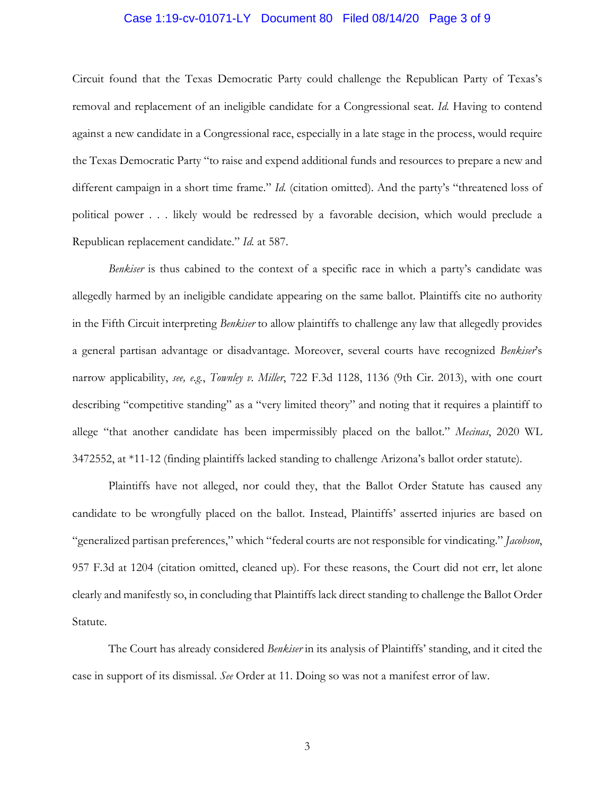## Case 1:19-cv-01071-LY Document 80 Filed 08/14/20 Page 3 of 9

Circuit found that the Texas Democratic Party could challenge the Republican Party of Texas's removal and replacement of an ineligible candidate for a Congressional seat. *Id.* Having to contend against a new candidate in a Congressional race, especially in a late stage in the process, would require the Texas Democratic Party "to raise and expend additional funds and resources to prepare a new and different campaign in a short time frame." *Id.* (citation omitted). And the party's "threatened loss of political power . . . likely would be redressed by a favorable decision, which would preclude a Republican replacement candidate." *Id.* at 587.

*Benkiser* is thus cabined to the context of a specific race in which a party's candidate was allegedly harmed by an ineligible candidate appearing on the same ballot. Plaintiffs cite no authority in the Fifth Circuit interpreting *Benkiser* to allow plaintiffs to challenge any law that allegedly provides a general partisan advantage or disadvantage. Moreover, several courts have recognized *Benkiser*'s narrow applicability, *see, e.g.*, *Townley v. Miller*, 722 F.3d 1128, 1136 (9th Cir. 2013), with one court describing "competitive standing" as a "very limited theory" and noting that it requires a plaintiff to allege "that another candidate has been impermissibly placed on the ballot." *Mecinas*, 2020 WL 3472552, at \*11-12 (finding plaintiffs lacked standing to challenge Arizona's ballot order statute).

Plaintiffs have not alleged, nor could they, that the Ballot Order Statute has caused any candidate to be wrongfully placed on the ballot. Instead, Plaintiffs' asserted injuries are based on "generalized partisan preferences," which "federal courts are not responsible for vindicating." *Jacobson*, 957 F.3d at 1204 (citation omitted, cleaned up). For these reasons, the Court did not err, let alone clearly and manifestly so, in concluding that Plaintiffs lack direct standing to challenge the Ballot Order Statute.

The Court has already considered *Benkiser* in its analysis of Plaintiffs' standing, and it cited the case in support of its dismissal. *See* Order at 11. Doing so was not a manifest error of law.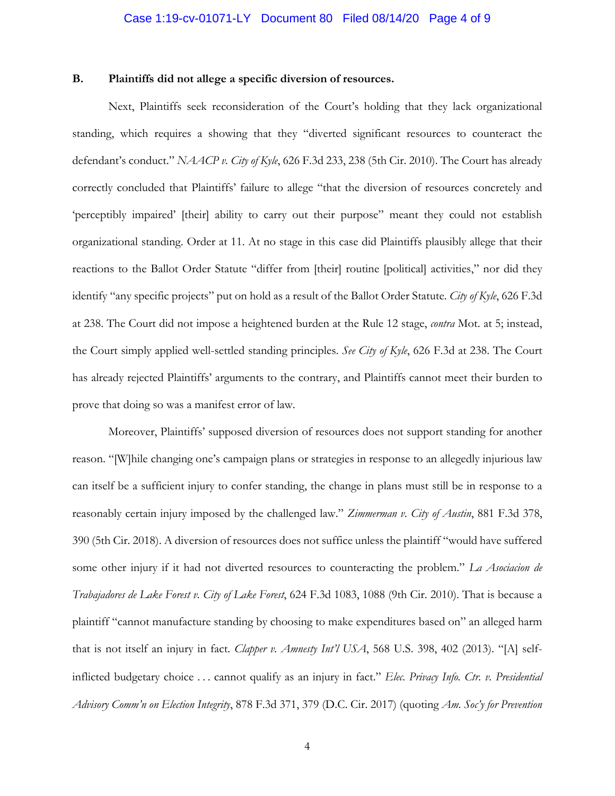## Case 1:19-cv-01071-LY Document 80 Filed 08/14/20 Page 4 of 9

### **B. Plaintiffs did not allege a specific diversion of resources.**

Next, Plaintiffs seek reconsideration of the Court's holding that they lack organizational standing, which requires a showing that they "diverted significant resources to counteract the defendant's conduct." *NAACP v. City of Kyle*, 626 F.3d 233, 238 (5th Cir. 2010). The Court has already correctly concluded that Plaintiffs' failure to allege "that the diversion of resources concretely and 'perceptibly impaired' [their] ability to carry out their purpose" meant they could not establish organizational standing. Order at 11. At no stage in this case did Plaintiffs plausibly allege that their reactions to the Ballot Order Statute "differ from [their] routine [political] activities," nor did they identify "any specific projects" put on hold as a result of the Ballot Order Statute. *City of Kyle*, 626 F.3d at 238. The Court did not impose a heightened burden at the Rule 12 stage, *contra* Mot. at 5; instead, the Court simply applied well-settled standing principles. *See City of Kyle*, 626 F.3d at 238. The Court has already rejected Plaintiffs' arguments to the contrary, and Plaintiffs cannot meet their burden to prove that doing so was a manifest error of law.

Moreover, Plaintiffs' supposed diversion of resources does not support standing for another reason. "[W]hile changing one's campaign plans or strategies in response to an allegedly injurious law can itself be a sufficient injury to confer standing, the change in plans must still be in response to a reasonably certain injury imposed by the challenged law." *Zimmerman v. City of Austin*, 881 F.3d 378, 390 (5th Cir. 2018). A diversion of resources does not suffice unless the plaintiff "would have suffered some other injury if it had not diverted resources to counteracting the problem." *La Asociacion de Trabajadores de Lake Forest v. City of Lake Forest*, 624 F.3d 1083, 1088 (9th Cir. 2010). That is because a plaintiff "cannot manufacture standing by choosing to make expenditures based on" an alleged harm that is not itself an injury in fact. *Clapper v. Amnesty Int'l USA*, 568 U.S. 398, 402 (2013). "[A] selfinflicted budgetary choice . . . cannot qualify as an injury in fact." *Elec. Privacy Info. Ctr. v. Presidential Advisory Comm'n on Election Integrity*, 878 F.3d 371, 379 (D.C. Cir. 2017) (quoting *Am. Soc'y for Prevention*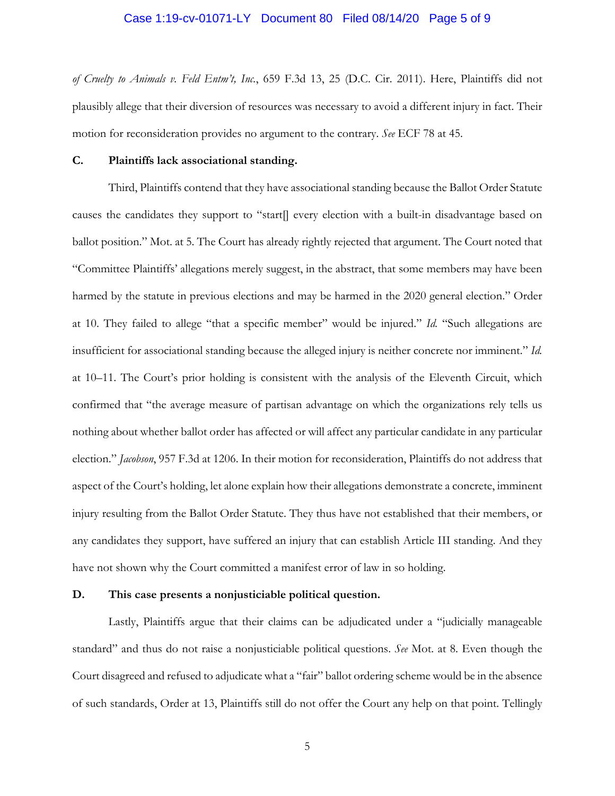### Case 1:19-cv-01071-LY Document 80 Filed 08/14/20 Page 5 of 9

*of Cruelty to Animals v. Feld Entm't, Inc.*, 659 F.3d 13, 25 (D.C. Cir. 2011). Here, Plaintiffs did not plausibly allege that their diversion of resources was necessary to avoid a different injury in fact. Their motion for reconsideration provides no argument to the contrary. *See* ECF 78 at 45.

## **C. Plaintiffs lack associational standing.**

Third, Plaintiffs contend that they have associational standing because the Ballot Order Statute causes the candidates they support to "start[] every election with a built-in disadvantage based on ballot position." Mot. at 5. The Court has already rightly rejected that argument. The Court noted that "Committee Plaintiffs' allegations merely suggest, in the abstract, that some members may have been harmed by the statute in previous elections and may be harmed in the 2020 general election." Order at 10. They failed to allege "that a specific member" would be injured." *Id.* "Such allegations are insufficient for associational standing because the alleged injury is neither concrete nor imminent." *Id.* at 10–11. The Court's prior holding is consistent with the analysis of the Eleventh Circuit, which confirmed that "the average measure of partisan advantage on which the organizations rely tells us nothing about whether ballot order has affected or will affect any particular candidate in any particular election." *Jacobson*, 957 F.3d at 1206. In their motion for reconsideration, Plaintiffs do not address that aspect of the Court's holding, let alone explain how their allegations demonstrate a concrete, imminent injury resulting from the Ballot Order Statute. They thus have not established that their members, or any candidates they support, have suffered an injury that can establish Article III standing. And they have not shown why the Court committed a manifest error of law in so holding.

#### **D. This case presents a nonjusticiable political question.**

Lastly, Plaintiffs argue that their claims can be adjudicated under a "judicially manageable standard" and thus do not raise a nonjusticiable political questions. *See* Mot. at 8. Even though the Court disagreed and refused to adjudicate what a "fair" ballot ordering scheme would be in the absence of such standards, Order at 13, Plaintiffs still do not offer the Court any help on that point. Tellingly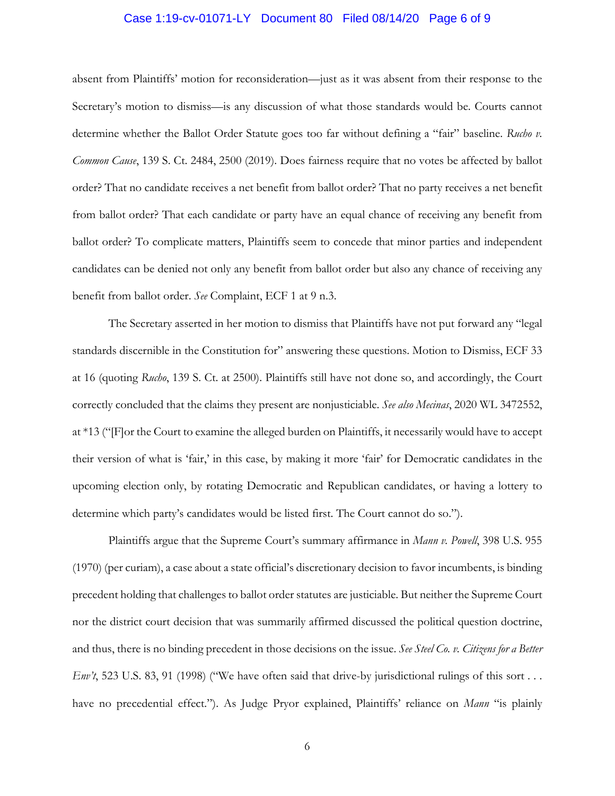## Case 1:19-cv-01071-LY Document 80 Filed 08/14/20 Page 6 of 9

absent from Plaintiffs' motion for reconsideration—just as it was absent from their response to the Secretary's motion to dismiss—is any discussion of what those standards would be. Courts cannot determine whether the Ballot Order Statute goes too far without defining a "fair" baseline. *Rucho v. Common Cause*, 139 S. Ct. 2484, 2500 (2019). Does fairness require that no votes be affected by ballot order? That no candidate receives a net benefit from ballot order? That no party receives a net benefit from ballot order? That each candidate or party have an equal chance of receiving any benefit from ballot order? To complicate matters, Plaintiffs seem to concede that minor parties and independent candidates can be denied not only any benefit from ballot order but also any chance of receiving any benefit from ballot order. *See* Complaint, ECF 1 at 9 n.3.

The Secretary asserted in her motion to dismiss that Plaintiffs have not put forward any "legal standards discernible in the Constitution for" answering these questions. Motion to Dismiss, ECF 33 at 16 (quoting *Rucho*, 139 S. Ct. at 2500). Plaintiffs still have not done so, and accordingly, the Court correctly concluded that the claims they present are nonjusticiable. *See also Mecinas*, 2020 WL 3472552, at \*13 ("[F]or the Court to examine the alleged burden on Plaintiffs, it necessarily would have to accept their version of what is 'fair,' in this case, by making it more 'fair' for Democratic candidates in the upcoming election only, by rotating Democratic and Republican candidates, or having a lottery to determine which party's candidates would be listed first. The Court cannot do so.").

Plaintiffs argue that the Supreme Court's summary affirmance in *Mann v. Powell*, 398 U.S. 955 (1970) (per curiam), a case about a state official's discretionary decision to favor incumbents, is binding precedent holding that challenges to ballot order statutes are justiciable. But neither the Supreme Court nor the district court decision that was summarily affirmed discussed the political question doctrine, and thus, there is no binding precedent in those decisions on the issue. *See Steel Co. v. Citizens for a Better Env't*, 523 U.S. 83, 91 (1998) ("We have often said that drive-by jurisdictional rulings of this sort . . . have no precedential effect."). As Judge Pryor explained, Plaintiffs' reliance on *Mann* "is plainly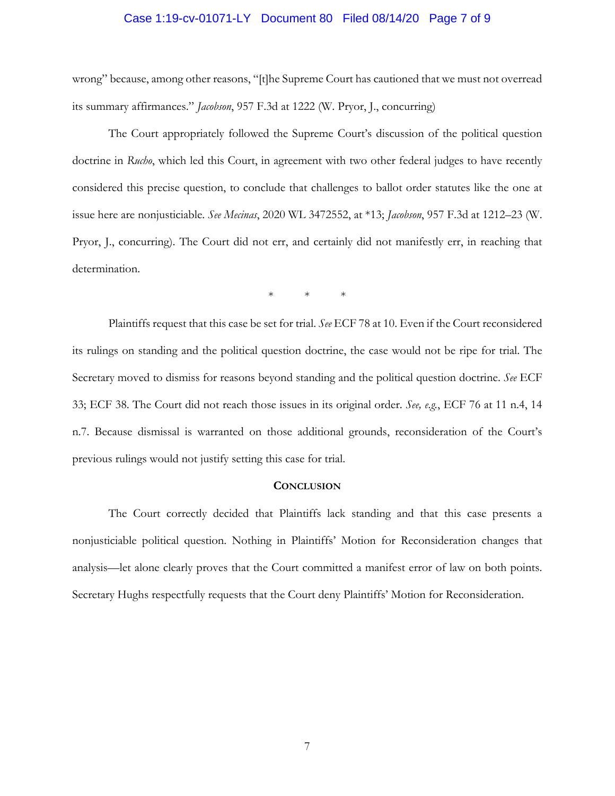### Case 1:19-cv-01071-LY Document 80 Filed 08/14/20 Page 7 of 9

wrong" because, among other reasons, "[t]he Supreme Court has cautioned that we must not overread its summary affirmances." *Jacobson*, 957 F.3d at 1222 (W. Pryor, J., concurring)

The Court appropriately followed the Supreme Court's discussion of the political question doctrine in *Rucho*, which led this Court, in agreement with two other federal judges to have recently considered this precise question, to conclude that challenges to ballot order statutes like the one at issue here are nonjusticiable. *See Mecinas*, 2020 WL 3472552, at \*13; *Jacobson*, 957 F.3d at 1212–23 (W. Pryor, J., concurring). The Court did not err, and certainly did not manifestly err, in reaching that determination.

\* \* \*

Plaintiffs request that this case be set for trial. *See* ECF 78 at 10. Even if the Court reconsidered its rulings on standing and the political question doctrine, the case would not be ripe for trial. The Secretary moved to dismiss for reasons beyond standing and the political question doctrine. *See* ECF 33; ECF 38. The Court did not reach those issues in its original order. *See, e.g.*, ECF 76 at 11 n.4, 14 n.7. Because dismissal is warranted on those additional grounds, reconsideration of the Court's previous rulings would not justify setting this case for trial.

## **CONCLUSION**

The Court correctly decided that Plaintiffs lack standing and that this case presents a nonjusticiable political question. Nothing in Plaintiffs' Motion for Reconsideration changes that analysis—let alone clearly proves that the Court committed a manifest error of law on both points. Secretary Hughs respectfully requests that the Court deny Plaintiffs' Motion for Reconsideration.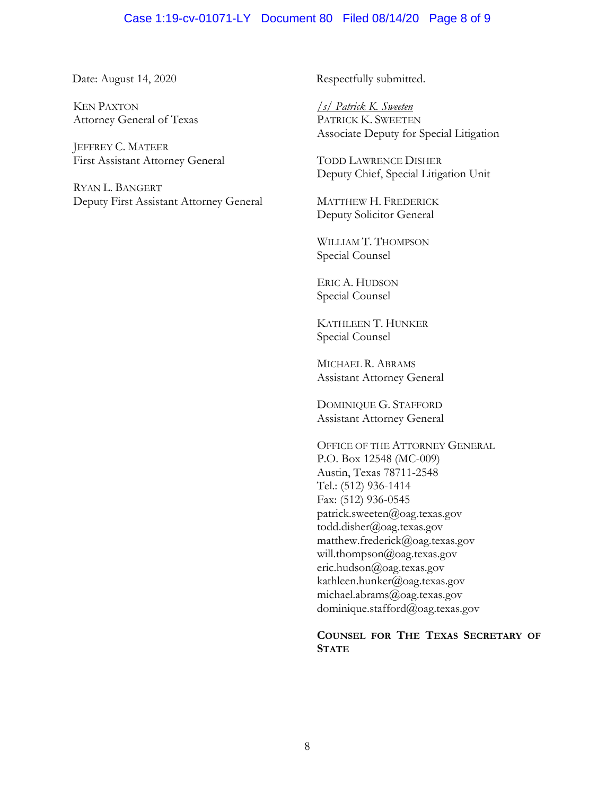## Case 1:19-cv-01071-LY Document 80 Filed 08/14/20 Page 8 of 9

KEN PAXTON Attorney General of Texas

JEFFREY C. MATEER First Assistant Attorney General

RYAN L. BANGERT Deputy First Assistant Attorney General

Date: August 14, 2020 Respectfully submitted.

*/s/ Patrick K. Sweeten* PATRICK K. SWEETEN Associate Deputy for Special Litigation

TODD LAWRENCE DISHER Deputy Chief, Special Litigation Unit

MATTHEW H. FREDERICK Deputy Solicitor General

WILLIAM T. THOMPSON Special Counsel

ERIC A. HUDSON Special Counsel

KATHLEEN T. HUNKER Special Counsel

MICHAEL R. ABRAMS Assistant Attorney General

DOMINIQUE G. STAFFORD Assistant Attorney General

OFFICE OF THE ATTORNEY GENERAL P.O. Box 12548 (MC-009) Austin, Texas 78711-2548 Tel.: (512) 936-1414 Fax: (512) 936-0545 patrick.sweeten@oag.texas.gov todd.disher@oag.texas.gov matthew.frederick@oag.texas.gov will.thompson@oag.texas.gov eric.hudson@oag.texas.gov kathleen.hunker@oag.texas.gov michael.abrams@oag.texas.gov dominique.stafford@oag.texas.gov

## **COUNSEL FOR THE TEXAS SECRETARY OF STATE**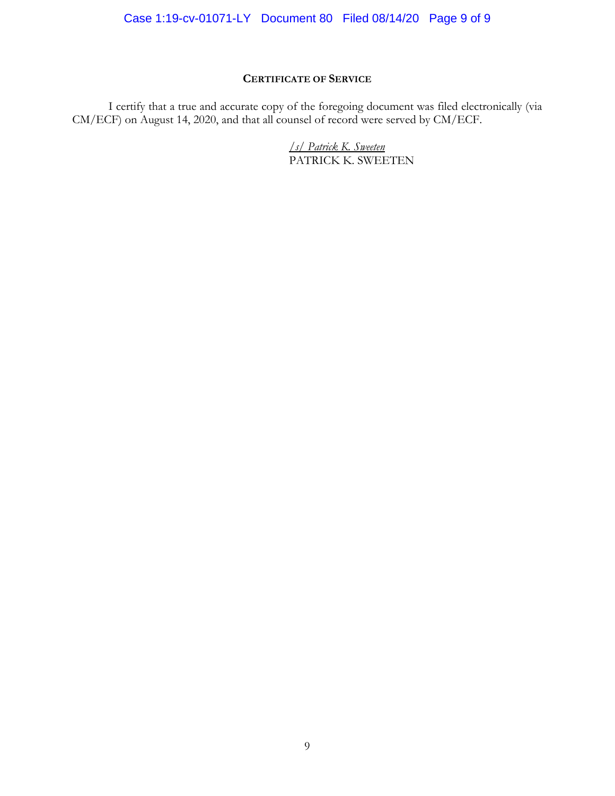# **CERTIFICATE OF SERVICE**

I certify that a true and accurate copy of the foregoing document was filed electronically (via CM/ECF) on August 14, 2020, and that all counsel of record were served by CM/ECF.

> */s/ Patrick K. Sweeten* PATRICK K. SWEETEN